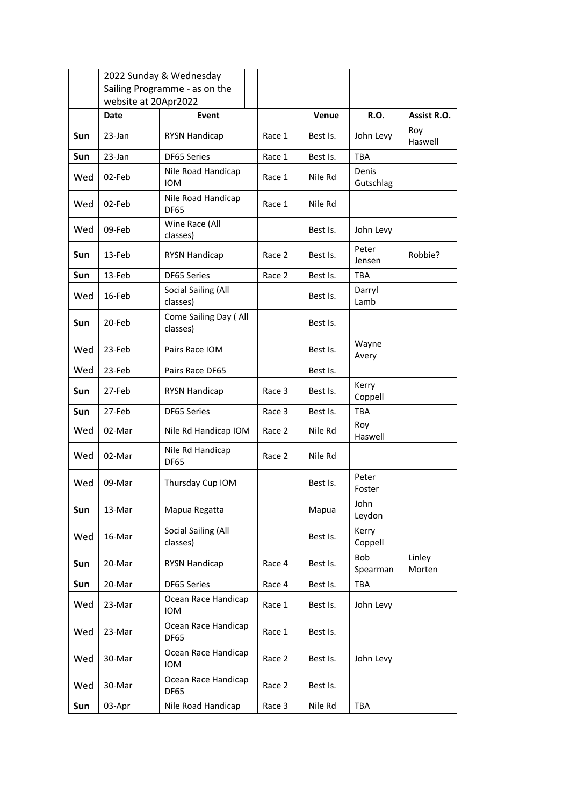|            |                               | 2022 Sunday & Wednesday            |        |          |                    |                  |
|------------|-------------------------------|------------------------------------|--------|----------|--------------------|------------------|
|            | Sailing Programme - as on the |                                    |        |          |                    |                  |
|            | website at 20Apr2022          |                                    |        |          |                    |                  |
|            | Date                          | Event                              |        | Venue    | R.O.               | Assist R.O.      |
| Sun        | $23$ -Jan                     | <b>RYSN Handicap</b>               | Race 1 | Best Is. | John Levy          | Roy<br>Haswell   |
| <b>Sun</b> | 23-Jan                        | DF65 Series                        | Race 1 | Best Is. | <b>TBA</b>         |                  |
| Wed        | 02-Feb                        | Nile Road Handicap<br><b>IOM</b>   | Race 1 | Nile Rd  | Denis<br>Gutschlag |                  |
| Wed        | 02-Feb                        | Nile Road Handicap<br><b>DF65</b>  | Race 1 | Nile Rd  |                    |                  |
| Wed        | 09-Feb                        | Wine Race (All<br>classes)         |        | Best Is. | John Levy          |                  |
| <b>Sun</b> | 13-Feb                        | <b>RYSN Handicap</b>               | Race 2 | Best Is. | Peter<br>Jensen    | Robbie?          |
| Sun        | 13-Feb                        | <b>DF65 Series</b>                 | Race 2 | Best Is. | TBA                |                  |
| Wed        | 16-Feb                        | Social Sailing (All<br>classes)    |        | Best Is. | Darryl<br>Lamb     |                  |
| <b>Sun</b> | 20-Feb                        | Come Sailing Day (All<br>classes)  |        | Best Is. |                    |                  |
| Wed        | 23-Feb                        | Pairs Race IOM                     |        | Best Is. | Wayne<br>Avery     |                  |
| Wed        | 23-Feb                        | Pairs Race DF65                    |        | Best Is. |                    |                  |
| <b>Sun</b> | 27-Feb                        | <b>RYSN Handicap</b>               | Race 3 | Best Is. | Kerry<br>Coppell   |                  |
| Sun        | 27-Feb                        | DF65 Series                        | Race 3 | Best Is. | <b>TBA</b>         |                  |
| Wed        | 02-Mar                        | Nile Rd Handicap IOM               | Race 2 | Nile Rd  | Roy<br>Haswell     |                  |
| Wed        | 02-Mar                        | Nile Rd Handicap<br><b>DF65</b>    | Race 2 | Nile Rd  |                    |                  |
| Wed        | 09-Mar                        | Thursday Cup IOM                   |        | Best Is. | Peter<br>Foster    |                  |
| Sun        | 13-Mar                        | Mapua Regatta                      |        | Mapua    | John<br>Leydon     |                  |
| Wed        | 16-Mar                        | Social Sailing (All<br>classes)    |        | Best Is. | Kerry<br>Coppell   |                  |
| Sun        | 20-Mar                        | <b>RYSN Handicap</b>               | Race 4 | Best Is. | Bob<br>Spearman    | Linley<br>Morten |
| Sun        | 20-Mar                        | DF65 Series                        | Race 4 | Best Is. | <b>TBA</b>         |                  |
| Wed        | 23-Mar                        | Ocean Race Handicap<br><b>IOM</b>  | Race 1 | Best Is. | John Levy          |                  |
| Wed        | 23-Mar                        | Ocean Race Handicap<br><b>DF65</b> | Race 1 | Best Is. |                    |                  |
| Wed        | 30-Mar                        | Ocean Race Handicap<br><b>IOM</b>  | Race 2 | Best Is. | John Levy          |                  |
| Wed        | 30-Mar                        | Ocean Race Handicap<br>DF65        | Race 2 | Best Is. |                    |                  |
| Sun        | 03-Apr                        | Nile Road Handicap                 | Race 3 | Nile Rd  | <b>TBA</b>         |                  |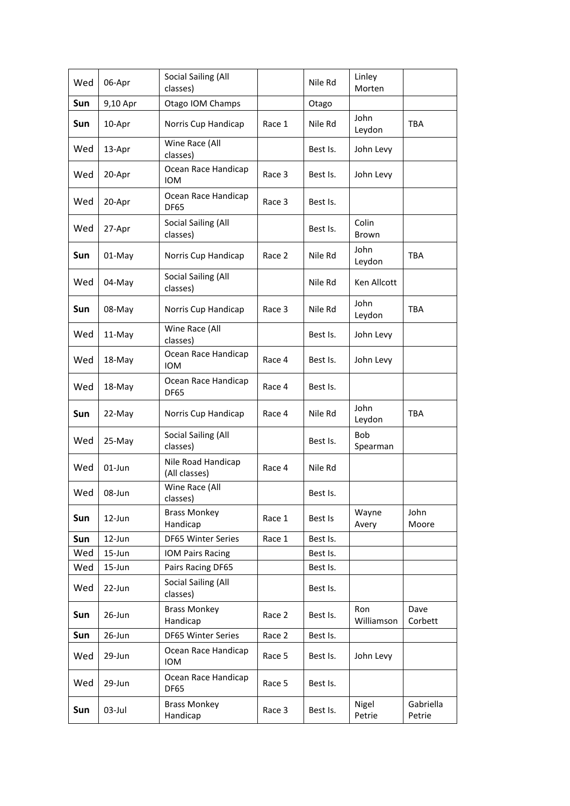| Wed | 06-Apr    | Social Sailing (All<br>classes)     |        | Nile Rd  | Linley<br>Morten  |                     |
|-----|-----------|-------------------------------------|--------|----------|-------------------|---------------------|
| Sun | 9,10 Apr  | Otago IOM Champs                    |        | Otago    |                   |                     |
| Sun | 10-Apr    | Norris Cup Handicap                 | Race 1 | Nile Rd  | John<br>Leydon    | TBA                 |
| Wed | 13-Apr    | Wine Race (All<br>classes)          |        | Best Is. | John Levy         |                     |
| Wed | 20-Apr    | Ocean Race Handicap<br><b>IOM</b>   | Race 3 | Best Is. | John Levy         |                     |
| Wed | 20-Apr    | Ocean Race Handicap<br><b>DF65</b>  | Race 3 | Best Is. |                   |                     |
| Wed | 27-Apr    | Social Sailing (All<br>classes)     |        | Best Is. | Colin<br>Brown    |                     |
| Sun | 01-May    | Norris Cup Handicap                 | Race 2 | Nile Rd  | John<br>Leydon    | <b>TBA</b>          |
| Wed | 04-May    | Social Sailing (All<br>classes)     |        | Nile Rd  | Ken Allcott       |                     |
| Sun | 08-May    | Norris Cup Handicap                 | Race 3 | Nile Rd  | John<br>Leydon    | <b>TBA</b>          |
| Wed | 11-May    | Wine Race (All<br>classes)          |        | Best Is. | John Levy         |                     |
| Wed | 18-May    | Ocean Race Handicap<br><b>IOM</b>   | Race 4 | Best Is. | John Levy         |                     |
| Wed | 18-May    | Ocean Race Handicap<br><b>DF65</b>  | Race 4 | Best Is. |                   |                     |
| Sun | 22-May    | Norris Cup Handicap                 | Race 4 | Nile Rd  | John<br>Leydon    | TBA                 |
| Wed | 25-May    | Social Sailing (All<br>classes)     |        | Best Is. | Bob<br>Spearman   |                     |
| Wed | 01-Jun    | Nile Road Handicap<br>(All classes) | Race 4 | Nile Rd  |                   |                     |
| Wed | 08-Jun    | Wine Race (All<br>classes)          |        | Best Is. |                   |                     |
| Sun | 12-Jun    | <b>Brass Monkey</b><br>Handicap     | Race 1 | Best Is  | Wayne<br>Avery    | John<br>Moore       |
| Sun | 12-Jun    | DF65 Winter Series                  | Race 1 | Best Is. |                   |                     |
| Wed | 15-Jun    | IOM Pairs Racing                    |        | Best Is. |                   |                     |
| Wed | 15-Jun    | Pairs Racing DF65                   |        | Best Is. |                   |                     |
| Wed | 22-Jun    | Social Sailing (All<br>classes)     |        | Best Is. |                   |                     |
| Sun | 26-Jun    | <b>Brass Monkey</b><br>Handicap     | Race 2 | Best Is. | Ron<br>Williamson | Dave<br>Corbett     |
| Sun | 26-Jun    | DF65 Winter Series                  | Race 2 | Best Is. |                   |                     |
| Wed | 29-Jun    | Ocean Race Handicap<br><b>IOM</b>   | Race 5 | Best Is. | John Levy         |                     |
| Wed | 29-Jun    | Ocean Race Handicap<br><b>DF65</b>  | Race 5 | Best Is. |                   |                     |
| Sun | $03$ -Jul | <b>Brass Monkey</b><br>Handicap     | Race 3 | Best Is. | Nigel<br>Petrie   | Gabriella<br>Petrie |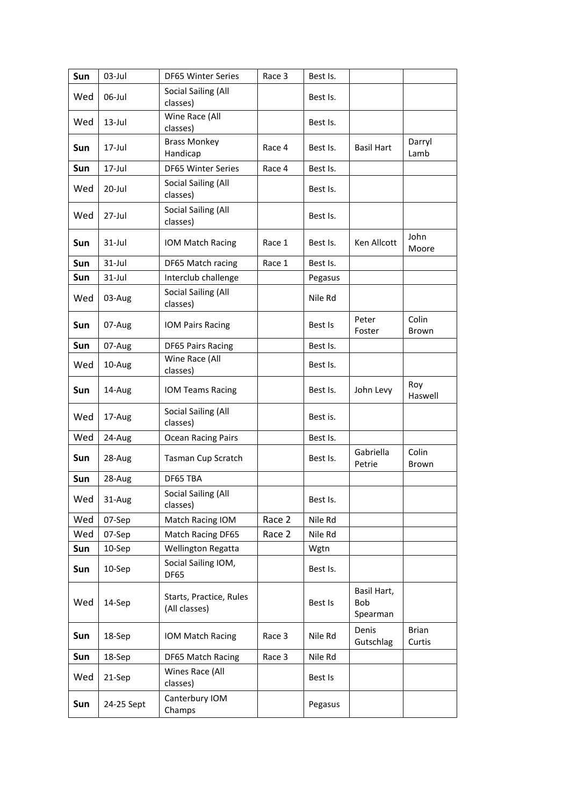| Sun        | 03-Jul     | DF65 Winter Series                       | Race 3 | Best Is. |                                |                        |
|------------|------------|------------------------------------------|--------|----------|--------------------------------|------------------------|
| Wed        | 06-Jul     | Social Sailing (All<br>classes)          |        | Best Is. |                                |                        |
| Wed        | $13$ -Jul  | Wine Race (All<br>classes)               |        | Best Is. |                                |                        |
| Sun        | $17$ -Jul  | <b>Brass Monkey</b><br>Handicap          | Race 4 | Best Is. | <b>Basil Hart</b>              | Darryl<br>Lamb         |
| Sun        | 17-Jul     | <b>DF65 Winter Series</b>                | Race 4 | Best Is. |                                |                        |
| Wed        | 20-Jul     | Social Sailing (All<br>classes)          |        | Best Is. |                                |                        |
| Wed        | $27 -$ Jul | Social Sailing (All<br>classes)          |        | Best Is. |                                |                        |
| <b>Sun</b> | $31 -$ Jul | IOM Match Racing                         | Race 1 | Best Is. | Ken Allcott                    | John<br>Moore          |
| Sun        | $31$ -Jul  | DF65 Match racing                        | Race 1 | Best Is. |                                |                        |
| Sun        | $31$ -Jul  | Interclub challenge                      |        | Pegasus  |                                |                        |
| Wed        | 03-Aug     | Social Sailing (All<br>classes)          |        | Nile Rd  |                                |                        |
| Sun        | 07-Aug     | <b>IOM Pairs Racing</b>                  |        | Best Is  | Peter<br>Foster                | Colin<br>Brown         |
| Sun        | 07-Aug     | <b>DF65 Pairs Racing</b>                 |        | Best Is. |                                |                        |
| Wed        | 10-Aug     | Wine Race (All<br>classes)               |        | Best Is. |                                |                        |
| Sun        | 14-Aug     | IOM Teams Racing                         |        | Best Is. | John Levy                      | Roy<br>Haswell         |
| Wed        | 17-Aug     | <b>Social Sailing (All</b><br>classes)   |        | Best is. |                                |                        |
| Wed        | 24-Aug     | Ocean Racing Pairs                       |        | Best Is. |                                |                        |
| Sun        | 28-Aug     | Tasman Cup Scratch                       |        | Best Is. | Gabriella<br>Petrie            | Colin<br>Brown         |
| Sun        | 28-Aug     | DF65 TBA                                 |        |          |                                |                        |
| Wed        | 31-Aug     | Social Sailing (All<br>classes)          |        | Best Is. |                                |                        |
| Wed        | 07-Sep     | Match Racing IOM                         | Race 2 | Nile Rd  |                                |                        |
| Wed        | 07-Sep     | Match Racing DF65                        | Race 2 | Nile Rd  |                                |                        |
| Sun        | 10-Sep     | Wellington Regatta                       |        | Wgtn     |                                |                        |
| Sun        | 10-Sep     | Social Sailing IOM,<br>DF65              |        | Best Is. |                                |                        |
| Wed        | 14-Sep     | Starts, Practice, Rules<br>(All classes) |        | Best Is  | Basil Hart,<br>Bob<br>Spearman |                        |
| Sun        | 18-Sep     | IOM Match Racing                         | Race 3 | Nile Rd  | Denis<br>Gutschlag             | <b>Brian</b><br>Curtis |
| Sun        | 18-Sep     | DF65 Match Racing                        | Race 3 | Nile Rd  |                                |                        |
| Wed        | 21-Sep     | Wines Race (All<br>classes)              |        | Best Is  |                                |                        |
| Sun        | 24-25 Sept | Canterbury IOM<br>Champs                 |        | Pegasus  |                                |                        |